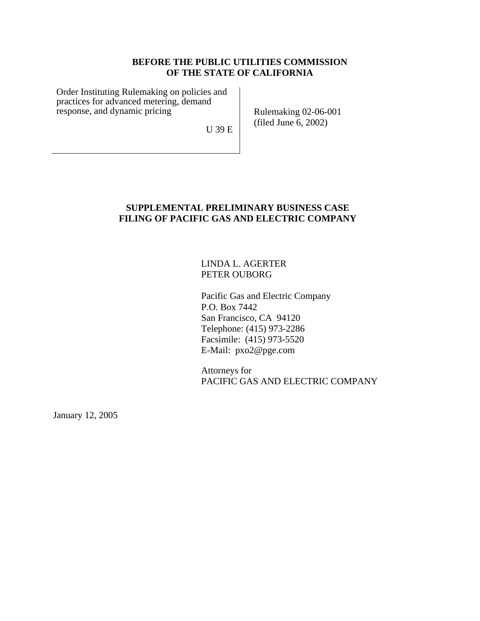# **BEFORE THE PUBLIC UTILITIES COMMISSION OF THE STATE OF CALIFORNIA**

Order Instituting Rulemaking on policies and practices for advanced metering, demand response, and dynamic pricing

Rulemaking 02-06-001 (filed June 6, 2002)

U 39 E

# **SUPPLEMENTAL PRELIMINARY BUSINESS CASE FILING OF PACIFIC GAS AND ELECTRIC COMPANY**

# LINDA L. AGERTER PETER OUBORG

Pacific Gas and Electric Company P.O. Box 7442 San Francisco, CA 94120 Telephone: (415) 973-2286 Facsimile: (415) 973-5520 E-Mail: pxo2@pge.com

Attorneys for PACIFIC GAS AND ELECTRIC COMPANY

January 12, 2005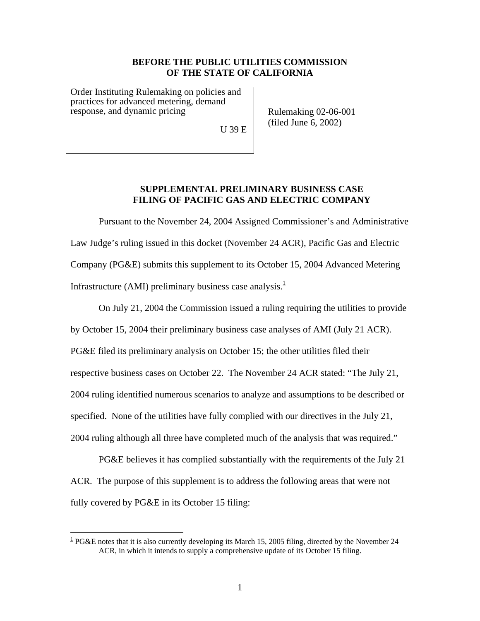## **BEFORE THE PUBLIC UTILITIES COMMISSION OF THE STATE OF CALIFORNIA**

Order Instituting Rulemaking on policies and practices for advanced metering, demand response, and dynamic pricing

U 39 E

Rulemaking 02-06-001 (filed June 6, 2002)

## **SUPPLEMENTAL PRELIMINARY BUSINESS CASE FILING OF PACIFIC GAS AND ELECTRIC COMPANY**

Pursuant to the November 24, 2004 Assigned Commissioner's and Administrative Law Judge's ruling issued in this docket (November 24 ACR), Pacific Gas and Electric Company (PG&E) submits this supplement to its October 15, 2004 Advanced Metering Infrastructure (AMI) preliminary business case analysis. $<sup>1</sup>$  $<sup>1</sup>$  $<sup>1</sup>$ </sup>

On July 21, 2004 the Commission issued a ruling requiring the utilities to provide by October 15, 2004 their preliminary business case analyses of AMI (July 21 ACR). PG&E filed its preliminary analysis on October 15; the other utilities filed their respective business cases on October 22. The November 24 ACR stated: "The July 21, 2004 ruling identified numerous scenarios to analyze and assumptions to be described or specified. None of the utilities have fully complied with our directives in the July 21, 2004 ruling although all three have completed much of the analysis that was required."

PG&E believes it has complied substantially with the requirements of the July 21 ACR. The purpose of this supplement is to address the following areas that were not fully covered by PG&E in its October 15 filing:

 $\overline{a}$ 

<span id="page-1-0"></span> $1$ <sup>1</sup> PG&E notes that it is also currently developing its March 15, 2005 filing, directed by the November 24 ACR, in which it intends to supply a comprehensive update of its October 15 filing.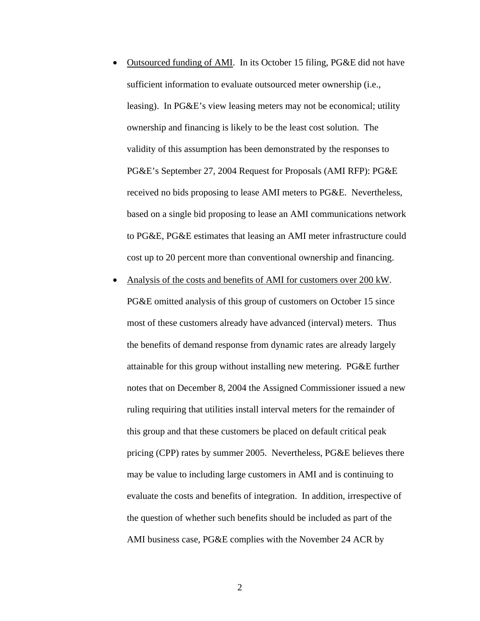- Outsourced funding of AMI. In its October 15 filing, PG&E did not have sufficient information to evaluate outsourced meter ownership (i.e., leasing). In PG&E's view leasing meters may not be economical; utility ownership and financing is likely to be the least cost solution. The validity of this assumption has been demonstrated by the responses to PG&E's September 27, 2004 Request for Proposals (AMI RFP): PG&E received no bids proposing to lease AMI meters to PG&E. Nevertheless, based on a single bid proposing to lease an AMI communications network to PG&E, PG&E estimates that leasing an AMI meter infrastructure could cost up to 20 percent more than conventional ownership and financing.
- Analysis of the costs and benefits of AMI for customers over 200 kW. PG&E omitted analysis of this group of customers on October 15 since most of these customers already have advanced (interval) meters. Thus the benefits of demand response from dynamic rates are already largely attainable for this group without installing new metering. PG&E further notes that on December 8, 2004 the Assigned Commissioner issued a new ruling requiring that utilities install interval meters for the remainder of this group and that these customers be placed on default critical peak pricing (CPP) rates by summer 2005. Nevertheless, PG&E believes there may be value to including large customers in AMI and is continuing to evaluate the costs and benefits of integration. In addition, irrespective of the question of whether such benefits should be included as part of the AMI business case, PG&E complies with the November 24 ACR by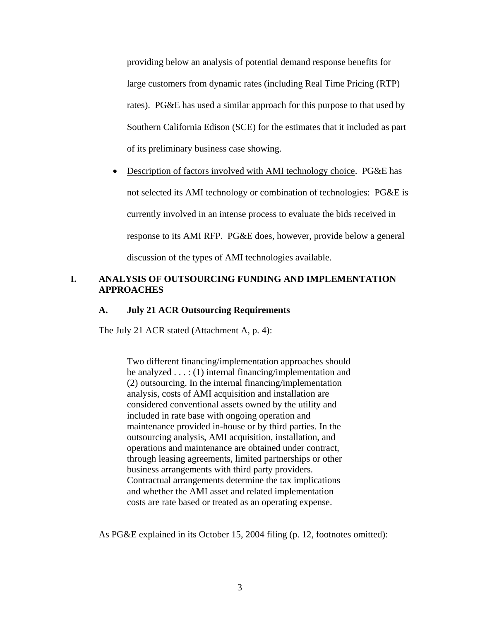providing below an analysis of potential demand response benefits for large customers from dynamic rates (including Real Time Pricing (RTP) rates). PG&E has used a similar approach for this purpose to that used by Southern California Edison (SCE) for the estimates that it included as part of its preliminary business case showing.

• Description of factors involved with AMI technology choice. PG&E has not selected its AMI technology or combination of technologies: PG&E is currently involved in an intense process to evaluate the bids received in response to its AMI RFP. PG&E does, however, provide below a general discussion of the types of AMI technologies available.

# **I. ANALYSIS OF OUTSOURCING FUNDING AND IMPLEMENTATION APPROACHES**

# **A. July 21 ACR Outsourcing Requirements**

The July 21 ACR stated (Attachment A, p. 4):

Two different financing/implementation approaches should be analyzed . . . : (1) internal financing/implementation and (2) outsourcing. In the internal financing/implementation analysis, costs of AMI acquisition and installation are considered conventional assets owned by the utility and included in rate base with ongoing operation and maintenance provided in-house or by third parties. In the outsourcing analysis, AMI acquisition, installation, and operations and maintenance are obtained under contract, through leasing agreements, limited partnerships or other business arrangements with third party providers. Contractual arrangements determine the tax implications and whether the AMI asset and related implementation costs are rate based or treated as an operating expense.

As PG&E explained in its October 15, 2004 filing (p. 12, footnotes omitted):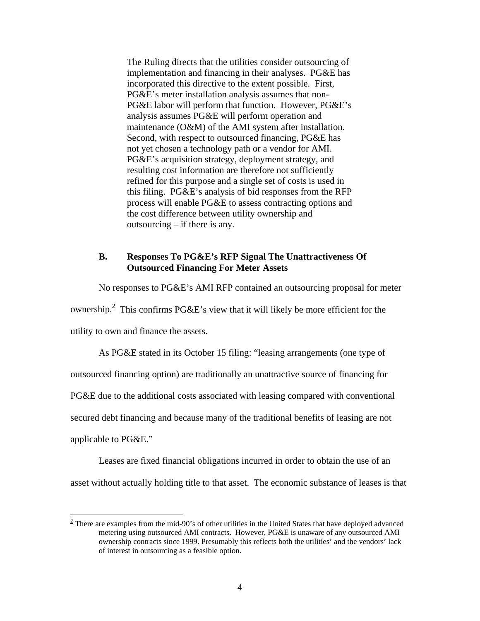The Ruling directs that the utilities consider outsourcing of implementation and financing in their analyses. PG&E has incorporated this directive to the extent possible. First, PG&E's meter installation analysis assumes that non-PG&E labor will perform that function. However, PG&E's analysis assumes PG&E will perform operation and maintenance (O&M) of the AMI system after installation. Second, with respect to outsourced financing, PG&E has not yet chosen a technology path or a vendor for AMI. PG&E's acquisition strategy, deployment strategy, and resulting cost information are therefore not sufficiently refined for this purpose and a single set of costs is used in this filing. PG&E's analysis of bid responses from the RFP process will enable PG&E to assess contracting options and the cost difference between utility ownership and outsourcing – if there is any.

## **B. Responses To PG&E's RFP Signal The Unattractiveness Of Outsourced Financing For Meter Assets**

No responses to PG&E's AMI RFP contained an outsourcing proposal for meter ownership.<sup>2</sup> This confirms PG&E's view that it will likely be more efficient for the utility to own and finance the assets.

As PG&E stated in its October 15 filing: "leasing arrangements (one type of outsourced financing option) are traditionally an unattractive source of financing for PG&E due to the additional costs associated with leasing compared with conventional

secured debt financing and because many of the traditional benefits of leasing are not

applicable to PG&E."

 $\overline{a}$ 

Leases are fixed financial obligations incurred in order to obtain the use of an asset without actually holding title to that asset. The economic substance of leases is that

<span id="page-4-0"></span> $2$  There are examples from the mid-90's of other utilities in the United States that have deployed advanced metering using outsourced AMI contracts. However, PG&E is unaware of any outsourced AMI ownership contracts since 1999. Presumably this reflects both the utilities' and the vendors' lack of interest in outsourcing as a feasible option.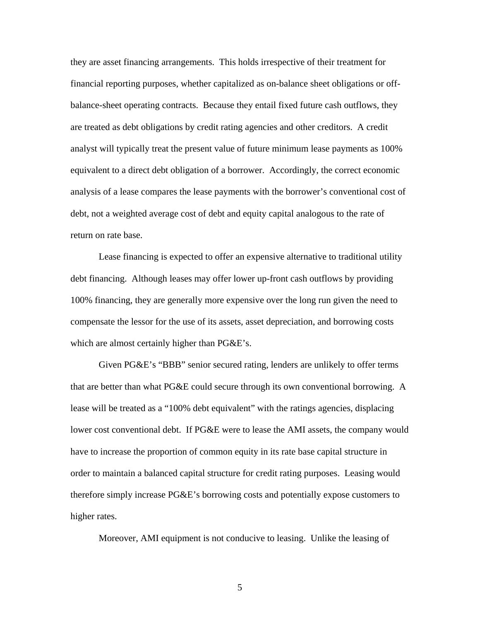they are asset financing arrangements. This holds irrespective of their treatment for financial reporting purposes, whether capitalized as on-balance sheet obligations or offbalance-sheet operating contracts. Because they entail fixed future cash outflows, they are treated as debt obligations by credit rating agencies and other creditors. A credit analyst will typically treat the present value of future minimum lease payments as 100% equivalent to a direct debt obligation of a borrower. Accordingly, the correct economic analysis of a lease compares the lease payments with the borrower's conventional cost of debt, not a weighted average cost of debt and equity capital analogous to the rate of return on rate base.

Lease financing is expected to offer an expensive alternative to traditional utility debt financing. Although leases may offer lower up-front cash outflows by providing 100% financing, they are generally more expensive over the long run given the need to compensate the lessor for the use of its assets, asset depreciation, and borrowing costs which are almost certainly higher than  $P G \& E$ 's.

Given PG&E's "BBB" senior secured rating, lenders are unlikely to offer terms that are better than what PG&E could secure through its own conventional borrowing. A lease will be treated as a "100% debt equivalent" with the ratings agencies, displacing lower cost conventional debt. If PG&E were to lease the AMI assets, the company would have to increase the proportion of common equity in its rate base capital structure in order to maintain a balanced capital structure for credit rating purposes. Leasing would therefore simply increase PG&E's borrowing costs and potentially expose customers to higher rates.

Moreover, AMI equipment is not conducive to leasing. Unlike the leasing of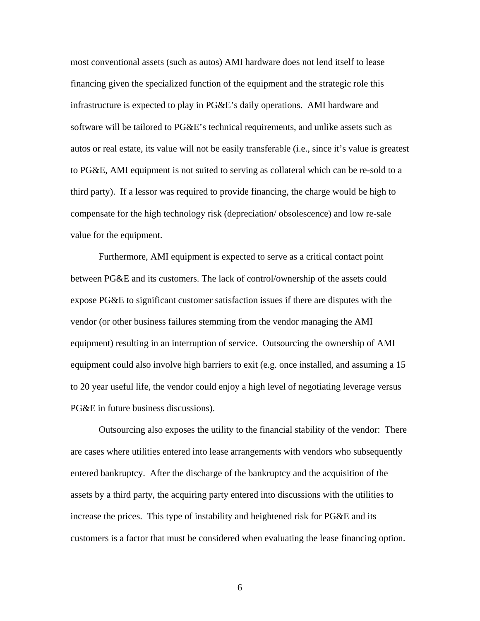most conventional assets (such as autos) AMI hardware does not lend itself to lease financing given the specialized function of the equipment and the strategic role this infrastructure is expected to play in PG&E's daily operations. AMI hardware and software will be tailored to PG&E's technical requirements, and unlike assets such as autos or real estate, its value will not be easily transferable (i.e., since it's value is greatest to PG&E, AMI equipment is not suited to serving as collateral which can be re-sold to a third party). If a lessor was required to provide financing, the charge would be high to compensate for the high technology risk (depreciation/ obsolescence) and low re-sale value for the equipment.

Furthermore, AMI equipment is expected to serve as a critical contact point between PG&E and its customers. The lack of control/ownership of the assets could expose PG&E to significant customer satisfaction issues if there are disputes with the vendor (or other business failures stemming from the vendor managing the AMI equipment) resulting in an interruption of service. Outsourcing the ownership of AMI equipment could also involve high barriers to exit (e.g. once installed, and assuming a 15 to 20 year useful life, the vendor could enjoy a high level of negotiating leverage versus PG&E in future business discussions).

Outsourcing also exposes the utility to the financial stability of the vendor: There are cases where utilities entered into lease arrangements with vendors who subsequently entered bankruptcy. After the discharge of the bankruptcy and the acquisition of the assets by a third party, the acquiring party entered into discussions with the utilities to increase the prices. This type of instability and heightened risk for PG&E and its customers is a factor that must be considered when evaluating the lease financing option.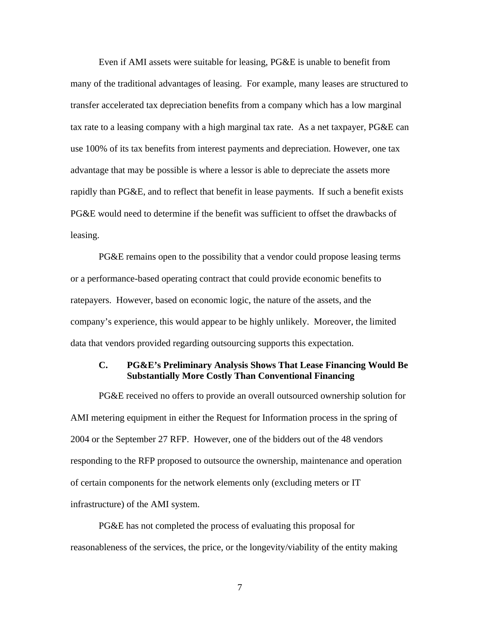Even if AMI assets were suitable for leasing, PG&E is unable to benefit from many of the traditional advantages of leasing. For example, many leases are structured to transfer accelerated tax depreciation benefits from a company which has a low marginal tax rate to a leasing company with a high marginal tax rate. As a net taxpayer, PG&E can use 100% of its tax benefits from interest payments and depreciation. However, one tax advantage that may be possible is where a lessor is able to depreciate the assets more rapidly than PG&E, and to reflect that benefit in lease payments. If such a benefit exists PG&E would need to determine if the benefit was sufficient to offset the drawbacks of leasing.

PG&E remains open to the possibility that a vendor could propose leasing terms or a performance-based operating contract that could provide economic benefits to ratepayers. However, based on economic logic, the nature of the assets, and the company's experience, this would appear to be highly unlikely. Moreover, the limited data that vendors provided regarding outsourcing supports this expectation.

# **C. PG&E's Preliminary Analysis Shows That Lease Financing Would Be Substantially More Costly Than Conventional Financing**

PG&E received no offers to provide an overall outsourced ownership solution for AMI metering equipment in either the Request for Information process in the spring of 2004 or the September 27 RFP. However, one of the bidders out of the 48 vendors responding to the RFP proposed to outsource the ownership, maintenance and operation of certain components for the network elements only (excluding meters or IT infrastructure) of the AMI system.

PG&E has not completed the process of evaluating this proposal for reasonableness of the services, the price, or the longevity/viability of the entity making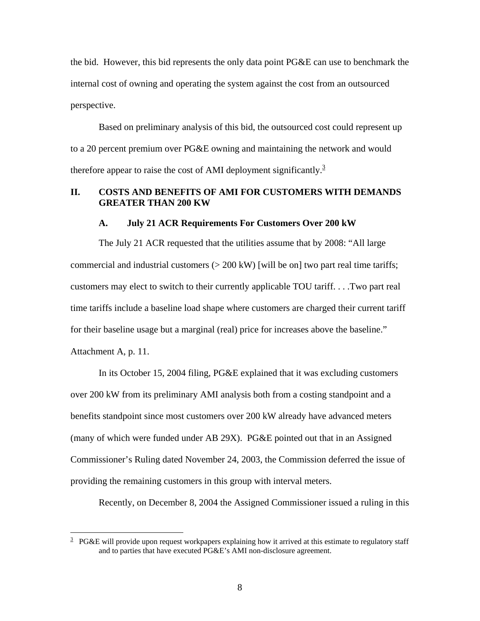the bid. However, this bid represents the only data point PG&E can use to benchmark the internal cost of owning and operating the system against the cost from an outsourced perspective.

Based on preliminary analysis of this bid, the outsourced cost could represent up to a 20 percent premium over PG&E owning and maintaining the network and would therefore appear to raise the cost of AMI deployment significantly.<sup>[3](#page-8-0)</sup>

# **II. COSTS AND BENEFITS OF AMI FOR CUSTOMERS WITH DEMANDS GREATER THAN 200 KW**

#### **A. July 21 ACR Requirements For Customers Over 200 kW**

The July 21 ACR requested that the utilities assume that by 2008: "All large commercial and industrial customers  $(> 200 \text{ kW})$  [will be on] two part real time tariffs; customers may elect to switch to their currently applicable TOU tariff. . . .Two part real time tariffs include a baseline load shape where customers are charged their current tariff for their baseline usage but a marginal (real) price for increases above the baseline." Attachment A, p. 11.

In its October 15, 2004 filing, PG&E explained that it was excluding customers over 200 kW from its preliminary AMI analysis both from a costing standpoint and a benefits standpoint since most customers over 200 kW already have advanced meters (many of which were funded under AB 29X). PG&E pointed out that in an Assigned Commissioner's Ruling dated November 24, 2003, the Commission deferred the issue of providing the remaining customers in this group with interval meters.

Recently, on December 8, 2004 the Assigned Commissioner issued a ruling in this

<span id="page-8-0"></span><sup>&</sup>lt;sup>3</sup> PG&E will provide upon request workpapers explaining how it arrived at this estimate to regulatory staff and to parties that have executed PG&E's AMI non-disclosure agreement.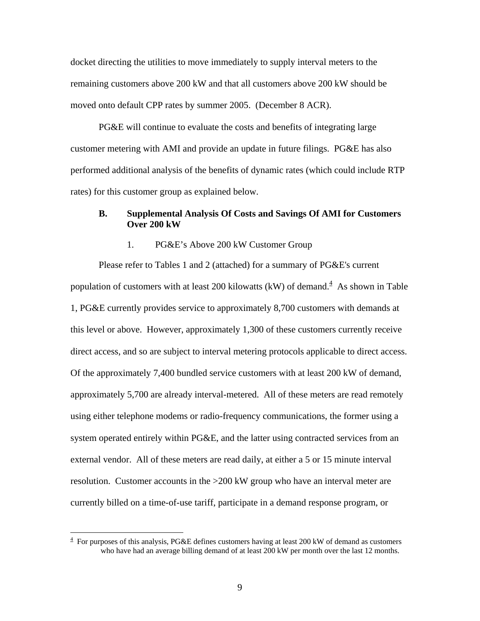docket directing the utilities to move immediately to supply interval meters to the remaining customers above 200 kW and that all customers above 200 kW should be moved onto default CPP rates by summer 2005. (December 8 ACR).

PG&E will continue to evaluate the costs and benefits of integrating large customer metering with AMI and provide an update in future filings. PG&E has also performed additional analysis of the benefits of dynamic rates (which could include RTP rates) for this customer group as explained below.

# **B. Supplemental Analysis Of Costs and Savings Of AMI for Customers Over 200 kW**

#### 1. PG&E's Above 200 kW Customer Group

Please refer to Tables 1 and 2 (attached) for a summary of PG&E's current populationof customers with at least 200 kilowatts (kW) of demand.<sup>4</sup> As shown in Table 1, PG&E currently provides service to approximately 8,700 customers with demands at this level or above. However, approximately 1,300 of these customers currently receive direct access, and so are subject to interval metering protocols applicable to direct access. Of the approximately 7,400 bundled service customers with at least 200 kW of demand, approximately 5,700 are already interval-metered. All of these meters are read remotely using either telephone modems or radio-frequency communications, the former using a system operated entirely within PG&E, and the latter using contracted services from an external vendor. All of these meters are read daily, at either a 5 or 15 minute interval resolution. Customer accounts in the >200 kW group who have an interval meter are currently billed on a time-of-use tariff, participate in a demand response program, or

<span id="page-9-0"></span> $4$  For purposes of this analysis, PG&E defines customers having at least 200 kW of demand as customers who have had an average billing demand of at least 200 kW per month over the last 12 months.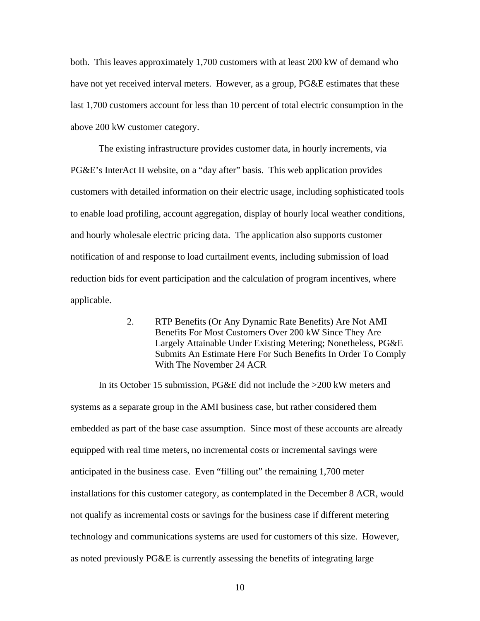both. This leaves approximately 1,700 customers with at least 200 kW of demand who have not yet received interval meters. However, as a group, PG&E estimates that these last 1,700 customers account for less than 10 percent of total electric consumption in the above 200 kW customer category.

The existing infrastructure provides customer data, in hourly increments, via PG&E's InterAct II website, on a "day after" basis. This web application provides customers with detailed information on their electric usage, including sophisticated tools to enable load profiling, account aggregation, display of hourly local weather conditions, and hourly wholesale electric pricing data. The application also supports customer notification of and response to load curtailment events, including submission of load reduction bids for event participation and the calculation of program incentives, where applicable.

> 2. RTP Benefits (Or Any Dynamic Rate Benefits) Are Not AMI Benefits For Most Customers Over 200 kW Since They Are Largely Attainable Under Existing Metering; Nonetheless, PG&E Submits An Estimate Here For Such Benefits In Order To Comply With The November 24 ACR

In its October 15 submission, PG&E did not include the >200 kW meters and systems as a separate group in the AMI business case, but rather considered them embedded as part of the base case assumption. Since most of these accounts are already equipped with real time meters, no incremental costs or incremental savings were anticipated in the business case. Even "filling out" the remaining 1,700 meter installations for this customer category, as contemplated in the December 8 ACR, would not qualify as incremental costs or savings for the business case if different metering technology and communications systems are used for customers of this size. However, as noted previously PG&E is currently assessing the benefits of integrating large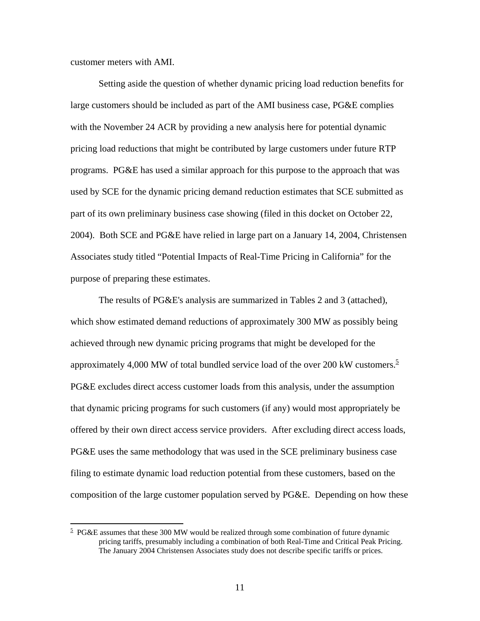customer meters with AMI.

1

Setting aside the question of whether dynamic pricing load reduction benefits for large customers should be included as part of the AMI business case, PG&E complies with the November 24 ACR by providing a new analysis here for potential dynamic pricing load reductions that might be contributed by large customers under future RTP programs. PG&E has used a similar approach for this purpose to the approach that was used by SCE for the dynamic pricing demand reduction estimates that SCE submitted as part of its own preliminary business case showing (filed in this docket on October 22, 2004). Both SCE and PG&E have relied in large part on a January 14, 2004, Christensen Associates study titled "Potential Impacts of Real-Time Pricing in California" for the purpose of preparing these estimates.

The results of PG&E's analysis are summarized in Tables 2 and 3 (attached), which show estimated demand reductions of approximately 300 MW as possibly being achieved through new dynamic pricing programs that might be developed for the approximately 4,000 MW of total bundled service load of the over 200 kW customers.<sup>[5](#page-11-0)</sup> PG&E excludes direct access customer loads from this analysis, under the assumption that dynamic pricing programs for such customers (if any) would most appropriately be offered by their own direct access service providers. After excluding direct access loads, PG&E uses the same methodology that was used in the SCE preliminary business case filing to estimate dynamic load reduction potential from these customers, based on the composition of the large customer population served by PG&E. Depending on how these

<span id="page-11-0"></span> $5$  PG&E assumes that these 300 MW would be realized through some combination of future dynamic pricing tariffs, presumably including a combination of both Real-Time and Critical Peak Pricing. The January 2004 Christensen Associates study does not describe specific tariffs or prices.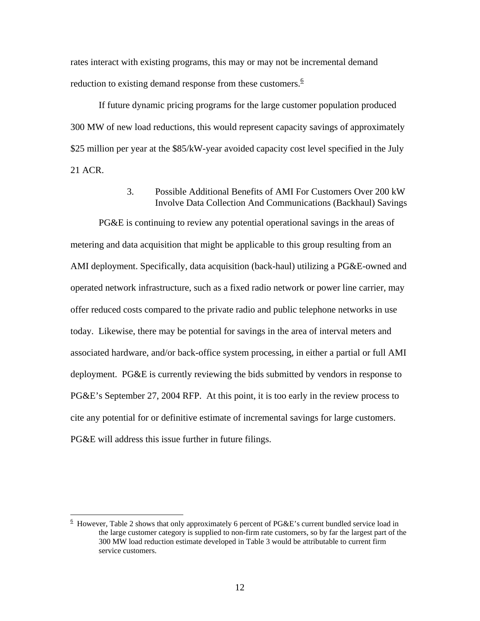rates interact with existing programs, this may or may not be incremental demand reduction to existing demand response from these customers. $6$ 

If future dynamic pricing programs for the large customer population produced 300 MW of new load reductions, this would represent capacity savings of approximately \$25 million per year at the \$85/kW-year avoided capacity cost level specified in the July 21 ACR.

> 3. Possible Additional Benefits of AMI For Customers Over 200 kW Involve Data Collection And Communications (Backhaul) Savings

PG&E is continuing to review any potential operational savings in the areas of metering and data acquisition that might be applicable to this group resulting from an AMI deployment. Specifically, data acquisition (back-haul) utilizing a PG&E-owned and operated network infrastructure, such as a fixed radio network or power line carrier, may offer reduced costs compared to the private radio and public telephone networks in use today. Likewise, there may be potential for savings in the area of interval meters and associated hardware, and/or back-office system processing, in either a partial or full AMI deployment. PG&E is currently reviewing the bids submitted by vendors in response to PG&E's September 27, 2004 RFP. At this point, it is too early in the review process to cite any potential for or definitive estimate of incremental savings for large customers. PG&E will address this issue further in future filings.

<u>.</u>

<span id="page-12-0"></span> $6$  However, Table 2 shows that only approximately 6 percent of PG&E's current bundled service load in the large customer category is supplied to non-firm rate customers, so by far the largest part of the 300 MW load reduction estimate developed in Table 3 would be attributable to current firm service customers.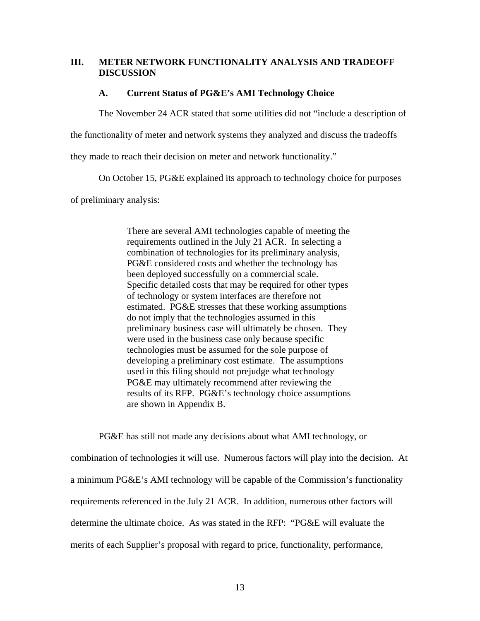## **III. METER NETWORK FUNCTIONALITY ANALYSIS AND TRADEOFF DISCUSSION**

#### **A. Current Status of PG&E's AMI Technology Choice**

The November 24 ACR stated that some utilities did not "include a description of

the functionality of meter and network systems they analyzed and discuss the tradeoffs

they made to reach their decision on meter and network functionality."

On October 15, PG&E explained its approach to technology choice for purposes

of preliminary analysis:

There are several AMI technologies capable of meeting the requirements outlined in the July 21 ACR. In selecting a combination of technologies for its preliminary analysis, PG&E considered costs and whether the technology has been deployed successfully on a commercial scale. Specific detailed costs that may be required for other types of technology or system interfaces are therefore not estimated. PG&E stresses that these working assumptions do not imply that the technologies assumed in this preliminary business case will ultimately be chosen. They were used in the business case only because specific technologies must be assumed for the sole purpose of developing a preliminary cost estimate. The assumptions used in this filing should not prejudge what technology PG&E may ultimately recommend after reviewing the results of its RFP. PG&E's technology choice assumptions are shown in Appendix B.

PG&E has still not made any decisions about what AMI technology, or combination of technologies it will use. Numerous factors will play into the decision. At a minimum PG&E's AMI technology will be capable of the Commission's functionality requirements referenced in the July 21 ACR. In addition, numerous other factors will determine the ultimate choice. As was stated in the RFP: "PG&E will evaluate the merits of each Supplier's proposal with regard to price, functionality, performance,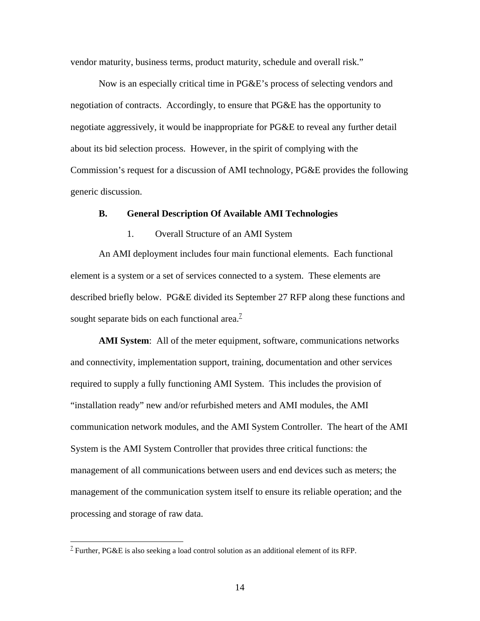vendor maturity, business terms, product maturity, schedule and overall risk."

Now is an especially critical time in PG&E's process of selecting vendors and negotiation of contracts. Accordingly, to ensure that PG&E has the opportunity to negotiate aggressively, it would be inappropriate for PG&E to reveal any further detail about its bid selection process. However, in the spirit of complying with the Commission's request for a discussion of AMI technology, PG&E provides the following generic discussion.

#### **B. General Description Of Available AMI Technologies**

#### 1. Overall Structure of an AMI System

An AMI deployment includes four main functional elements. Each functional element is a system or a set of services connected to a system. These elements are described briefly below. PG&E divided its September 27 RFP along these functions and sought separate bids on each functional area. $^2$ 

**AMI System**: All of the meter equipment, software, communications networks and connectivity, implementation support, training, documentation and other services required to supply a fully functioning AMI System. This includes the provision of "installation ready" new and/or refurbished meters and AMI modules, the AMI communication network modules, and the AMI System Controller. The heart of the AMI System is the AMI System Controller that provides three critical functions: the management of all communications between users and end devices such as meters; the management of the communication system itself to ensure its reliable operation; and the processing and storage of raw data.

 $\overline{a}$ 

<span id="page-14-0"></span><sup>&</sup>lt;sup>7</sup> Further, PG&E is also seeking a load control solution as an additional element of its RFP.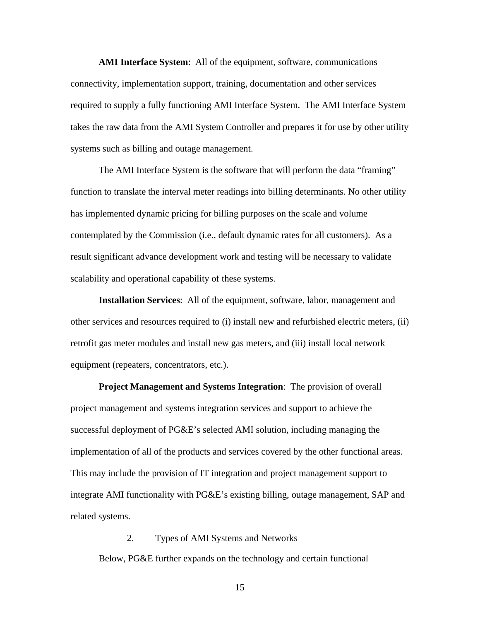**AMI Interface System**: All of the equipment, software, communications connectivity, implementation support, training, documentation and other services required to supply a fully functioning AMI Interface System. The AMI Interface System takes the raw data from the AMI System Controller and prepares it for use by other utility systems such as billing and outage management.

The AMI Interface System is the software that will perform the data "framing" function to translate the interval meter readings into billing determinants. No other utility has implemented dynamic pricing for billing purposes on the scale and volume contemplated by the Commission (i.e., default dynamic rates for all customers). As a result significant advance development work and testing will be necessary to validate scalability and operational capability of these systems.

**Installation Services**: All of the equipment, software, labor, management and other services and resources required to (i) install new and refurbished electric meters, (ii) retrofit gas meter modules and install new gas meters, and (iii) install local network equipment (repeaters, concentrators, etc.).

**Project Management and Systems Integration**: The provision of overall project management and systems integration services and support to achieve the successful deployment of PG&E's selected AMI solution, including managing the implementation of all of the products and services covered by the other functional areas. This may include the provision of IT integration and project management support to integrate AMI functionality with PG&E's existing billing, outage management, SAP and related systems.

2. Types of AMI Systems and Networks Below, PG&E further expands on the technology and certain functional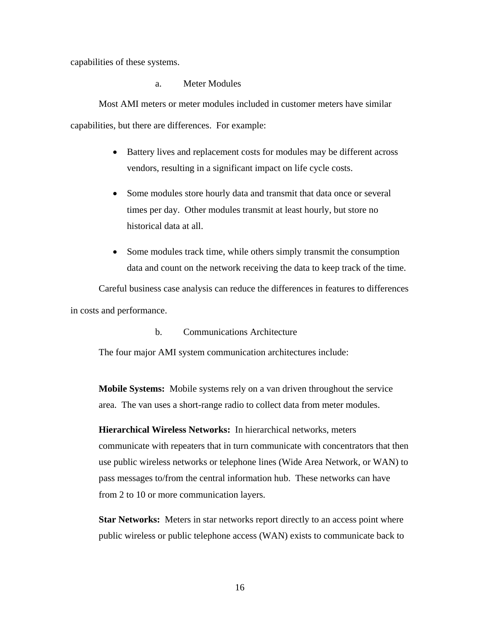capabilities of these systems.

a. Meter Modules

Most AMI meters or meter modules included in customer meters have similar capabilities, but there are differences. For example:

- Battery lives and replacement costs for modules may be different across vendors, resulting in a significant impact on life cycle costs.
- Some modules store hourly data and transmit that data once or several times per day. Other modules transmit at least hourly, but store no historical data at all.
- Some modules track time, while others simply transmit the consumption data and count on the network receiving the data to keep track of the time.

Careful business case analysis can reduce the differences in features to differences in costs and performance.

b. Communications Architecture

The four major AMI system communication architectures include:

**Mobile Systems:** Mobile systems rely on a van driven throughout the service area. The van uses a short-range radio to collect data from meter modules.

**Hierarchical Wireless Networks:** In hierarchical networks, meters communicate with repeaters that in turn communicate with concentrators that then use public wireless networks or telephone lines (Wide Area Network, or WAN) to pass messages to/from the central information hub. These networks can have from 2 to 10 or more communication layers.

**Star Networks:** Meters in star networks report directly to an access point where public wireless or public telephone access (WAN) exists to communicate back to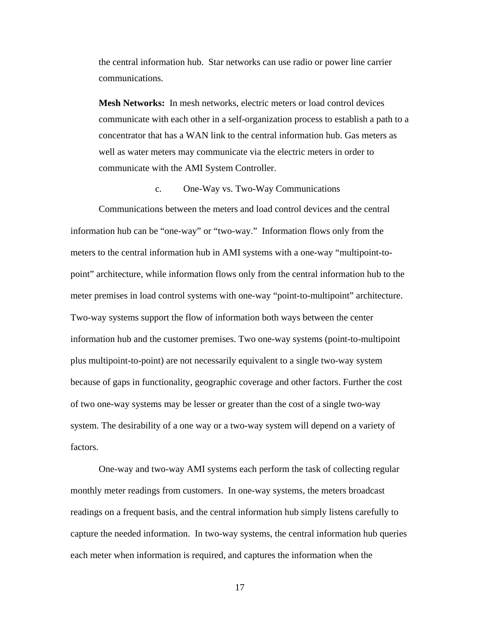the central information hub. Star networks can use radio or power line carrier communications.

**Mesh Networks:** In mesh networks, electric meters or load control devices communicate with each other in a self-organization process to establish a path to a concentrator that has a WAN link to the central information hub. Gas meters as well as water meters may communicate via the electric meters in order to communicate with the AMI System Controller.

#### c. One-Way vs. Two-Way Communications

Communications between the meters and load control devices and the central information hub can be "one-way" or "two-way." Information flows only from the meters to the central information hub in AMI systems with a one-way "multipoint-topoint" architecture, while information flows only from the central information hub to the meter premises in load control systems with one-way "point-to-multipoint" architecture. Two-way systems support the flow of information both ways between the center information hub and the customer premises. Two one-way systems (point-to-multipoint plus multipoint-to-point) are not necessarily equivalent to a single two-way system because of gaps in functionality, geographic coverage and other factors. Further the cost of two one-way systems may be lesser or greater than the cost of a single two-way system. The desirability of a one way or a two-way system will depend on a variety of factors.

One-way and two-way AMI systems each perform the task of collecting regular monthly meter readings from customers. In one-way systems, the meters broadcast readings on a frequent basis, and the central information hub simply listens carefully to capture the needed information. In two-way systems, the central information hub queries each meter when information is required, and captures the information when the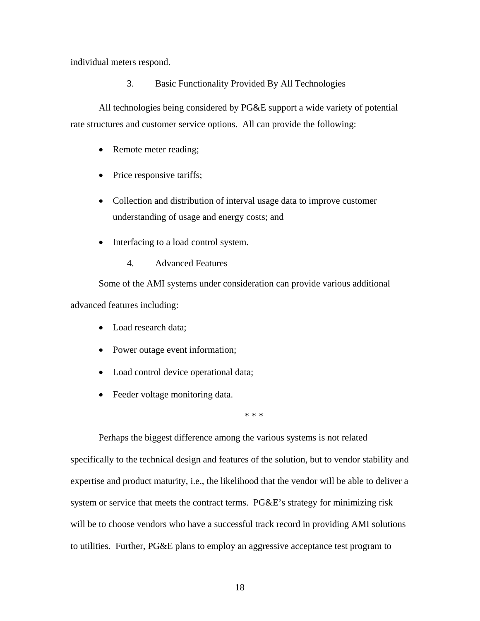individual meters respond.

3. Basic Functionality Provided By All Technologies

All technologies being considered by PG&E support a wide variety of potential rate structures and customer service options. All can provide the following:

- Remote meter reading;
- Price responsive tariffs;
- Collection and distribution of interval usage data to improve customer understanding of usage and energy costs; and
- Interfacing to a load control system.
	- 4. Advanced Features

Some of the AMI systems under consideration can provide various additional advanced features including:

- Load research data;
- Power outage event information;
- Load control device operational data;
- Feeder voltage monitoring data.

\* \* \*

Perhaps the biggest difference among the various systems is not related specifically to the technical design and features of the solution, but to vendor stability and expertise and product maturity, i.e., the likelihood that the vendor will be able to deliver a system or service that meets the contract terms. PG&E's strategy for minimizing risk will be to choose vendors who have a successful track record in providing AMI solutions to utilities. Further, PG&E plans to employ an aggressive acceptance test program to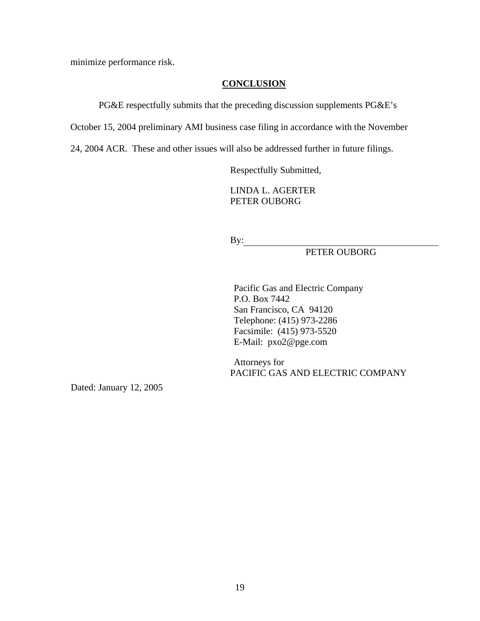minimize performance risk.

# **CONCLUSION**

PG&E respectfully submits that the preceding discussion supplements PG&E's

October 15, 2004 preliminary AMI business case filing in accordance with the November

24, 2004 ACR. These and other issues will also be addressed further in future filings.

Respectfully Submitted,

LINDA L. AGERTER PETER OUBORG

By:

PETER OUBORG

Pacific Gas and Electric Company P.O. Box 7442 San Francisco, CA 94120 Telephone: (415) 973-2286 Facsimile: (415) 973-5520 E-Mail: pxo2@pge.com

Attorneys for PACIFIC GAS AND ELECTRIC COMPANY

Dated: January 12, 2005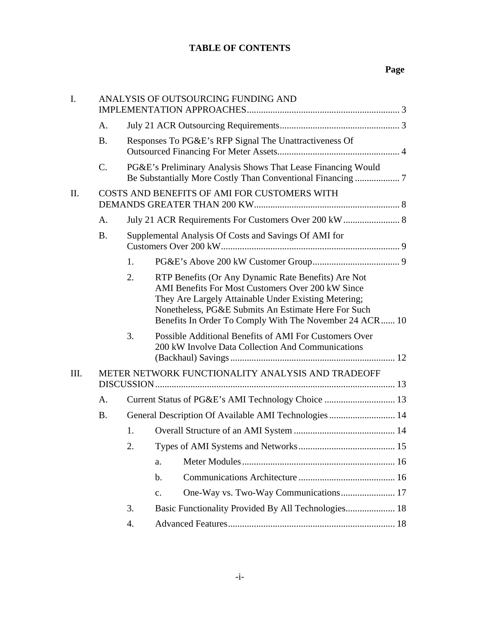# **TABLE OF CONTENTS**

# **Page**

| $\mathbf{I}$ . | ANALYSIS OF OUTSOURCING FUNDING AND               |                                                       |                                                                                                                                                                                                                                                                                    |  |
|----------------|---------------------------------------------------|-------------------------------------------------------|------------------------------------------------------------------------------------------------------------------------------------------------------------------------------------------------------------------------------------------------------------------------------------|--|
|                | A.                                                |                                                       |                                                                                                                                                                                                                                                                                    |  |
|                | <b>B.</b>                                         |                                                       | Responses To PG&E's RFP Signal The Unattractiveness Of                                                                                                                                                                                                                             |  |
|                | $\mathcal{C}$ .                                   |                                                       | PG&E's Preliminary Analysis Shows That Lease Financing Would                                                                                                                                                                                                                       |  |
| II.            | COSTS AND BENEFITS OF AMI FOR CUSTOMERS WITH      |                                                       |                                                                                                                                                                                                                                                                                    |  |
|                | A <sub>1</sub>                                    |                                                       | July 21 ACR Requirements For Customers Over 200 kW  8                                                                                                                                                                                                                              |  |
|                | <b>B.</b>                                         | Supplemental Analysis Of Costs and Savings Of AMI for |                                                                                                                                                                                                                                                                                    |  |
|                |                                                   | 1.                                                    |                                                                                                                                                                                                                                                                                    |  |
|                |                                                   | 2.                                                    | RTP Benefits (Or Any Dynamic Rate Benefits) Are Not<br>AMI Benefits For Most Customers Over 200 kW Since<br>They Are Largely Attainable Under Existing Metering;<br>Nonetheless, PG&E Submits An Estimate Here For Such<br>Benefits In Order To Comply With The November 24 ACR 10 |  |
|                |                                                   | 3.                                                    | Possible Additional Benefits of AMI For Customers Over<br>200 kW Involve Data Collection And Communications                                                                                                                                                                        |  |
| III.           | METER NETWORK FUNCTIONALITY ANALYSIS AND TRADEOFF |                                                       |                                                                                                                                                                                                                                                                                    |  |
|                | $A_{\cdot}$                                       |                                                       |                                                                                                                                                                                                                                                                                    |  |
|                | <b>B.</b>                                         | General Description Of Available AMI Technologies  14 |                                                                                                                                                                                                                                                                                    |  |
|                |                                                   | 1.                                                    |                                                                                                                                                                                                                                                                                    |  |
|                |                                                   | 2.                                                    |                                                                                                                                                                                                                                                                                    |  |
|                |                                                   |                                                       | a.                                                                                                                                                                                                                                                                                 |  |
|                |                                                   |                                                       | $\mathbf b$ .                                                                                                                                                                                                                                                                      |  |
|                |                                                   |                                                       | One-Way vs. Two-Way Communications 17<br>$C_{\bullet}$                                                                                                                                                                                                                             |  |
|                |                                                   | 3.                                                    | Basic Functionality Provided By All Technologies 18                                                                                                                                                                                                                                |  |
|                |                                                   | 4.                                                    |                                                                                                                                                                                                                                                                                    |  |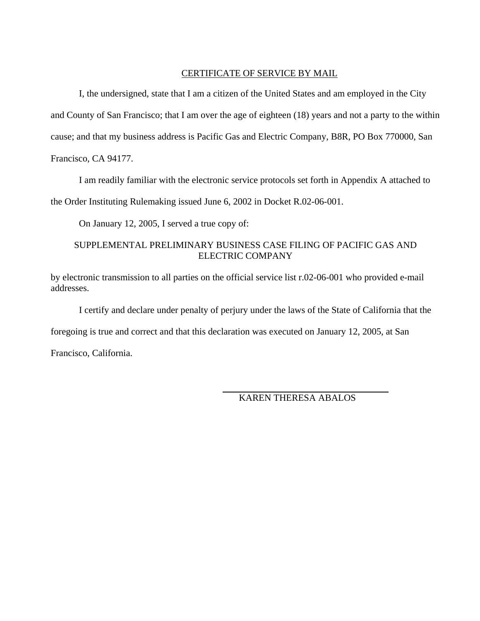# CERTIFICATE OF SERVICE BY MAIL

 I, the undersigned, state that I am a citizen of the United States and am employed in the City and County of San Francisco; that I am over the age of eighteen (18) years and not a party to the within cause; and that my business address is Pacific Gas and Electric Company, B8R, PO Box 770000, San Francisco, CA 94177.

I am readily familiar with the electronic service protocols set forth in Appendix A attached to

the Order Instituting Rulemaking issued June 6, 2002 in Docket R.02-06-001.

On January 12, 2005, I served a true copy of:

# SUPPLEMENTAL PRELIMINARY BUSINESS CASE FILING OF PACIFIC GAS AND ELECTRIC COMPANY

by electronic transmission to all parties on the official service list r.02-06-001 who provided e-mail addresses.

I certify and declare under penalty of perjury under the laws of the State of California that the

foregoing is true and correct and that this declaration was executed on January 12, 2005, at San

Francisco, California.

KAREN THERESA ABALOS